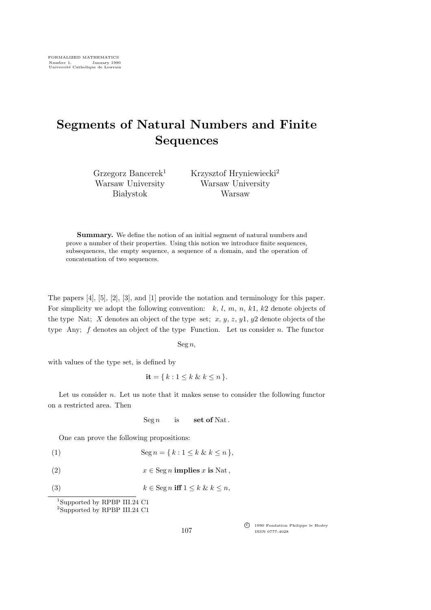## Segments of Natural Numbers and Finite Sequences

Grzegorz Bancerek<sup>1</sup> Warsaw University **Białystok** 

Krzysztof Hryniewiecki<sup>2</sup> Warsaw University Warsaw

Summary. We define the notion of an initial segment of natural numbers and prove a number of their properties. Using this notion we introduce finite sequences, subsequences, the empty sequence, a sequence of a domain, and the operation of concatenation of two sequences.

The papers [4], [5], [2], [3], and [1] provide the notation and terminology for this paper. For simplicity we adopt the following convention:  $k, l, m, n, k1, k2$  denote objects of the type Nat; X denotes an object of the type set;  $x, y, z, y1, y2$  denote objects of the type Any; f denotes an object of the type Function. Let us consider n. The functor

 $\operatorname{Seg} n$ ,

with values of the type set, is defined by

$$
\mathbf{it} = \{ k : 1 \le k \& k \le n \}.
$$

Let us consider  $n$ . Let us note that it makes sense to consider the following functor on a restricted area. Then

 $\operatorname{Seg } n$  is set of Nat.

One can prove the following propositions:

$$
(1) \qquad \qquad \text{Seg } n = \{k : 1 \le k \& k \le n\},
$$

(2)  $x \in \text{Seg } n \text{ implies } x \text{ is Nat},$ 

```
(3) k \in \text{Seg } n \text{ iff } 1 \leq k \& k \leq n,
```

```
1Supported by RPBP III.24 C1
2Supported by RPBP III.24 C1
```
c<sup>f</sup> 1990 Fondation Philippe le Hodey ISSN 0777-4028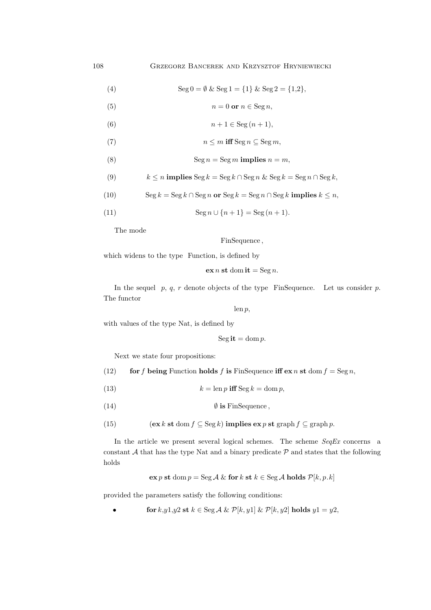(4) 
$$
\text{Seg } 0 = \emptyset \& \text{Seg } 1 = \{1\} \& \text{Seg } 2 = \{1,2\},
$$

(5)  $n = 0 \text{ or } n \in \text{Seg } n$ ,

- (6)  $n+1 \in \text{Seg}(n+1),$
- (7)  $n \leq m$  iff Seg  $n \subseteq$  Seg  $m$ ,
- (8) Seg  $n = \text{Seg } m$  implies  $n = m$ ,

(9) 
$$
k \le n
$$
 implies  $\text{Seg } k = \text{Seg } k \cap \text{Seg } n \& \text{Seg } k = \text{Seg } n \cap \text{Seg } k$ ,

(10) 
$$
\operatorname{Seg} k = \operatorname{Seg} k \cap \operatorname{Seg} n \text{ or } \operatorname{Seg} k = \operatorname{Seg} n \cap \operatorname{Seg} k \text{ implies } k \leq n,
$$

(11) 
$$
\operatorname{Seg} n \cup \{n+1\} = \operatorname{Seg} (n+1).
$$

The mode

FinSequence ,

which widens to the type Function, is defined by

```
\operatorname{ex} n st dom it = Seg n.
```
In the sequel  $p, q, r$  denote objects of the type FinSequence. Let us consider  $p$ . The functor

len p,

with values of the type Nat, is defined by

$$
Segit = dom p.
$$

Next we state four propositions:

(12) for f being Function holds f is FinSequence iff  $ex n$  st dom  $f = \text{Seg } n$ ,

- (13)  $k = \text{len } p \text{ iff } \text{Seg } k = \text{dom } p,$
- (14)  $\emptyset$  is FinSequence,
- (15)  $(\mathbf{ex} k \mathbf{st} \text{ dom } f \subseteq \text{Seg } k)$  implies  $\mathbf{ex} p \mathbf{st}$  graph  $f \subseteq \text{graph } p$ .

In the article we present several logical schemes. The scheme  $SeqEx$  concerns a constant  $A$  that has the type Nat and a binary predicate  $P$  and states that the following holds

$$
\mathbf{ex}\,p\,\mathbf{st}\,\mathrm{dom}\,p = \mathrm{Seg}\,\mathcal{A}\,\&\,\mathbf{for}\,k\,\mathbf{st}\,k \in \mathrm{Seg}\,\mathcal{A}\,\mathbf{holds}\,\mathcal{P}[k,p.k]
$$

provided the parameters satisfy the following conditions:

for  $k$ ,  $y$ 1,  $y$ 2 st  $k \in \text{Seg } \mathcal{A} \& \mathcal{P}[k, y1] \& \mathcal{P}[k, y2]$  holds  $y1 = y2$ ,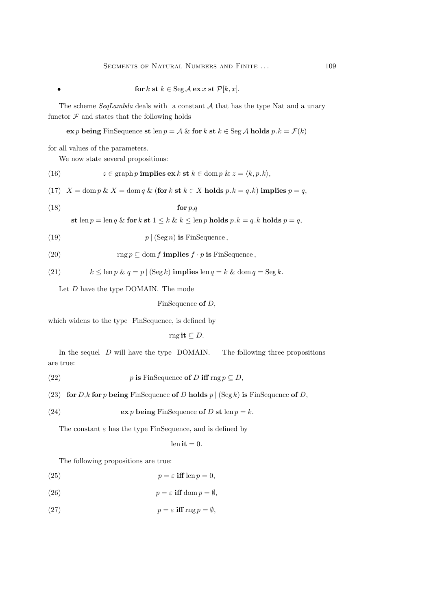• **for** 
$$
k
$$
 **st**  $k \in \text{Seg } \mathcal{A}$  **ex**  $x$  **st**  $\mathcal{P}[k, x]$ .

The scheme  $SeqLambda$  deals with a constant  $A$  that has the type Nat and a unary functor  $\mathcal F$  and states that the following holds

ex p being FinSequence st len  $p = A \&$  for k st  $k \in \text{Seg } A$  holds  $p.k = \mathcal{F}(k)$ 

for all values of the parameters.

We now state several propositions:

(16) 
$$
z \in \text{graph } p \text{ implies } \text{ex } k \text{ st } k \in \text{dom } p \& z = \langle k, p. k \rangle,
$$

(17)  $X = \text{dom } p \& X = \text{dom } q \& (\text{for } k \text{ st } k \in X \text{ holds } p.k = q.k) \text{ implies } p = q,$ 

$$
(18) \t\t for p,q
$$

st len  $p = \text{len } q \&$  for  $k$  st  $1 \leq k \& k \leq \text{len } p$  holds  $p.k = q.k$  holds  $p = q$ ,

$$
(19) \t\t\t p \mid (\text{Seg } n) \text{ is FinSequence},
$$

(20) 
$$
\operatorname{rng} p \subseteq \operatorname{dom} f \text{ implies } f \cdot p \text{ is FinSequence},
$$

(21) 
$$
k \leq \ln p \& q = p | (\text{Seg } k) \text{ implies } \ln q = k \& \text{ dom } q = \text{Seg } k.
$$

Let D have the type DOMAIN. The mode

$$
FinSequence of D,
$$

which widens to the type FinSequence, is defined by

$$
\operatorname{rngit} \subseteq D.
$$

In the sequel  $D$  will have the type DOMAIN. The following three propositions are true:

(22) 
$$
p \text{ is FinSequence of } D \text{ iff } \text{rng } p \subseteq D,
$$

(23) for D,k for p being FinSequence of D holds  $p | (\text{Seg } k)$  is FinSequence of D,

(24) 
$$
\operatorname{ex} p \operatorname{being} \operatorname{FinSequence} \operatorname{of} D \operatorname{st} \operatorname{len} p = k.
$$

The constant  $\varepsilon$  has the type FinSequence, and is defined by

$$
lenit = 0.
$$

The following propositions are true:

(25) 
$$
p = \varepsilon \text{ iff } \text{len } p = 0,
$$

(26) 
$$
p = \varepsilon \text{ iff } \text{dom } p = \emptyset,
$$

(27) 
$$
p = \varepsilon \text{ iff } \text{rng } p = \emptyset,
$$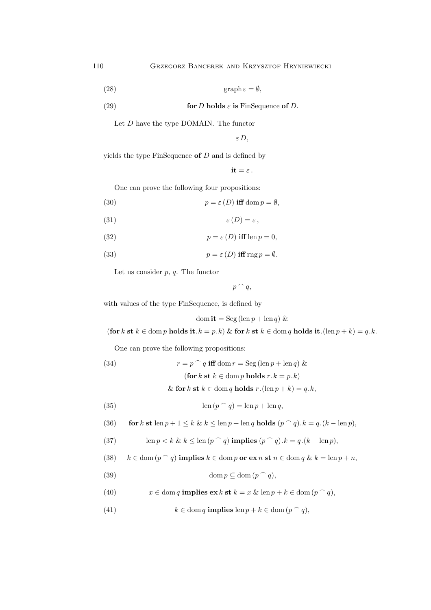$$
\text{(28)} \quad \text{graph } \varepsilon = \emptyset,
$$

(29) **for** 
$$
D
$$
 **holds**  $\varepsilon$  **is** FinSequence **of**  $D$ .

Let  $D$  have the type DOMAIN. The functor

εD,

yields the type FinSequence of  $D$  and is defined by

 $it = \varepsilon$ .

One can prove the following four propositions:

(30) 
$$
p = \varepsilon(D) \text{ iff } \text{dom } p = \emptyset,
$$

$$
(31) \t\t\t \varepsilon(D) = \varepsilon,
$$

(32) 
$$
p = \varepsilon(D) \text{ iff } \text{len } p = 0,
$$

(33) 
$$
p = \varepsilon(D) \text{ iff } \text{rng } p = \emptyset.
$$

Let us consider  $p, q$ . The functor

$$
p\ \widehat{\phantom{a}}\ \, q,
$$

with values of the type FinSequence, is defined by

$$
\operatorname{dom} \mathbf{it} = \operatorname{Seg} (\operatorname{len} p + \operatorname{len} q) \&
$$

(for k st  $k \in \text{dom } p$  holds it. $k = p.k$ ) & for k st  $k \in \text{dom } q$  holds it.(len  $p + k$ ) = q.k.

One can prove the following propositions:

(34) 
$$
r = p^{\frown} q \text{ iff } \text{dom } r = \text{Seg} (\text{len } p + \text{len } q) \&
$$

$$
(\text{for } k \text{ st } k \in \text{dom } p \text{ holds } r.k = p.k)
$$

& for k st  $k \in \text{dom } q$  holds  $r \cdot (\text{len } p + k) = q \cdot k$ ,

(35) 
$$
\operatorname{len}(p \cap q) = \operatorname{len} p + \operatorname{len} q,
$$

(36) for 
$$
k
$$
 st len  $p + 1 \leq k$  &  $k \leq \text{len } p + \text{len } q$  holds  $(p \cap q)$ .  $k = q.(k - \text{len } p)$ ,

(37) 
$$
\operatorname{len} p < k \& k \leq \operatorname{len} (p \cap q) \text{ implies } (p \cap q).k = q.(k - \operatorname{len} p),
$$

(38) 
$$
k \in \text{dom}(p \cap q)
$$
 implies  $k \in \text{dom} p$  or  $\text{ex } n \text{ st } n \in \text{dom } q \& k = \text{len } p + n$ ,

(39) 
$$
\operatorname{dom} p \subseteq \operatorname{dom} (p \cap q),
$$

(40) 
$$
x \in \text{dom } q \text{ implies } \text{ex } k \text{ st } k = x \& \text{ len } p + k \in \text{dom } (p \cap q),
$$

(41) 
$$
k \in \text{dom } q \text{ implies } \text{len } p + k \in \text{dom } (p \cap q),
$$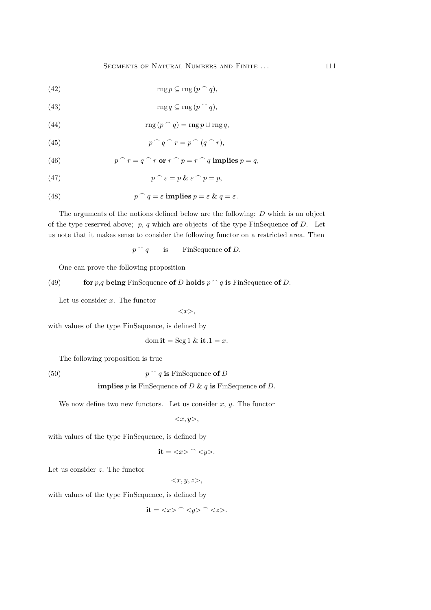(42) 
$$
\operatorname{rng} p \subseteq \operatorname{rng}(p \cap q),
$$

(43) 
$$
\operatorname{rng} q \subseteq \operatorname{rng}(p \cap q),
$$

(44) 
$$
\operatorname{rng}(p \cap q) = \operatorname{rng} p \cup \operatorname{rng} q,
$$

(45) 
$$
p \cap q \cap r = p \cap (q \cap r),
$$

(46) 
$$
p \cap r = q \cap r \text{ or } r \cap p = r \cap q \text{ implies } p = q,
$$

(47) 
$$
p^{\frown} \varepsilon = p \& \varepsilon^{\frown} p = p,
$$

(48) 
$$
p^q = \varepsilon \text{ implies } p = \varepsilon \& q = \varepsilon.
$$

The arguments of the notions defined below are the following:  $D$  which is an object of the type reserved above;  $p, q$  which are objects of the type FinSequence of D. Let us note that it makes sense to consider the following functor on a restricted area. Then

$$
p \cap q
$$
 is FinSequence of *D*.

One can prove the following proposition

(49) for p,q being FinSequence of D holds  $p \cap q$  is FinSequence of D.

Let us consider  $x$ . The functor

 $\langle x \rangle$ ,

with values of the type FinSequence, is defined by

$$
\text{dom } \mathbf{it} = \text{Seg } 1 \& \mathbf{it} \. 1 = x.
$$

The following proposition is true

 $(50)$ 

 $p \cap q$  is FinSequence of D

## implies p is FinSequence of D & q is FinSequence of D.

We now define two new functors. Let us consider  $x, y$ . The functor

 $\langle x, y \rangle,$ 

with values of the type FinSequence, is defined by

$$
it = \langle x \rangle ^{\frown} \langle y \rangle.
$$

Let us consider z. The functor

$$
\langle x,y,z\rangle,
$$

with values of the type FinSequence, is defined by

$$
it = \langle x \rangle ^{\frown} \langle y \rangle ^{\frown} \langle z \rangle.
$$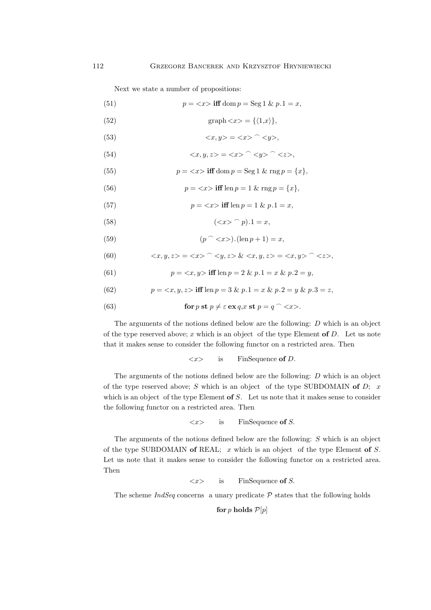Next we state a number of propositions:

(51)  $p = \langle x \rangle$  iff dom  $p = \text{Seg 1 \& p.1} = x$ ,

- (52) graph  $\langle x \rangle = \{ \langle 1, x \rangle \},\$
- (53)  $\langle x, y \rangle = \langle x \rangle \cap \langle y \rangle$ ,

(54) 
$$
\langle x, y, z \rangle = \langle x \rangle \cap \langle y \rangle \cap \langle z \rangle,
$$

(55)  $p = \langle x \rangle$  iff dom  $p = \text{Seg 1 \& \text{rng } p = \{x\},\$ 

(56) 
$$
p = \langle x \rangle
$$
 iff len  $p = 1$  &  $\text{rng } p = \{x\},$ 

(57) 
$$
p = \langle x \rangle \text{ iff } \text{len } p = 1 \& p. 1 = x,
$$

(58)  $(*x* >  $\hat{p}$ ).1 = *x*,$ 

(59) 
$$
(p \cap \langle x \rangle).(\ln p + 1) = x,
$$

(60) 
$$
\langle x, y, z \rangle = \langle x \rangle \cap \langle y, z \rangle \& \langle x, y, z \rangle = \langle x, y \rangle \cap \langle z \rangle,
$$

(61) 
$$
p = \langle x, y \rangle \text{ iff } \text{len } p = 2 \& p.1 = x \& p.2 = y,
$$

(62) 
$$
p = \langle x, y, z \rangle \text{ iff } \text{len } p = 3 \& p.1 = x \& p.2 = y \& p.3 = z,
$$

(63) **for** 
$$
p
$$
 **st**  $p \neq \varepsilon$  **ex**  $q$ ,  $x$  **st**  $p = q$  ^  $\lt$   $\lt$  $x$ .

The arguments of the notions defined below are the following: D which is an object of the type reserved above; x which is an object of the type Element of  $D$ . Let us note that it makes sense to consider the following functor on a restricted area. Then

$$
\langle x \rangle
$$
 is FinSequence of *D*.

The arguments of the notions defined below are the following: D which is an object of the type reserved above; S which is an object of the type SUBDOMAIN of  $D$ ; x which is an object of the type Element of  $S$ . Let us note that it makes sense to consider the following functor on a restricted area. Then

$$
\langle x \rangle
$$
 is FinSequence of S.

The arguments of the notions defined below are the following: S which is an object of the type SUBDOMAIN of REAL;  $x$  which is an object of the type Element of  $S$ . Let us note that it makes sense to consider the following functor on a restricted area. Then

 $\langle x \rangle$  is FinSequence of S.

The scheme  $IndSeq$  concerns a unary predicate  $P$  states that the following holds

for p holds  $\mathcal{P}[p]$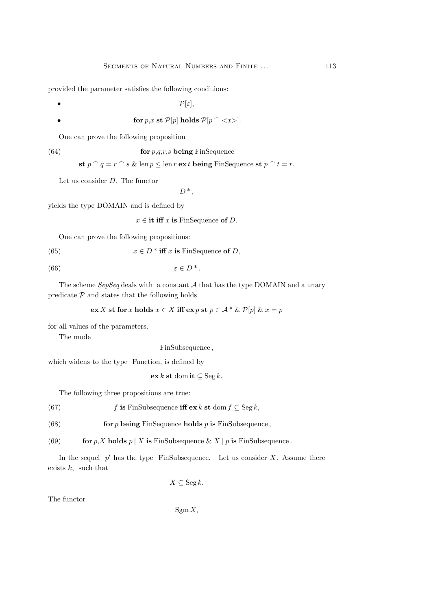provided the parameter satisfies the following conditions:

•  $\mathcal{P}[\varepsilon],$ 

$$
\textbf{for} \ p, x \ \textbf{st} \ \mathcal{P}[p] \ \textbf{holds} \ \mathcal{P}[p \ \widehat{\ }\ \].
$$

One can prove the following proposition

(64) **for** 
$$
p,q,r,s
$$
 **being** FinSequence

st  $p \cap q = r \cap s$  & len  $p \leq \text{len } r$  ex t being FinSequence st  $p \cap t = r$ .

Let us consider D. The functor

 $D^*$ ,

yields the type DOMAIN and is defined by

 $x \in \text{it iff } x \text{ is FinSequence of } D.$ 

One can prove the following propositions:

(65) 
$$
x \in D^* \text{ iff } x \text{ is FinSequence of } D,
$$

$$
(66) \qquad \qquad \varepsilon \in D^*.
$$

The scheme  $SepSeq$  deals with a constant  $A$  that has the type DOMAIN and a unary predicate  $\mathcal P$  and states that the following holds

$$
\mathbf{ex}\,X\,\mathbf{st}\,\mathbf{for}\,x\,\mathbf{holds}\,x\in X\,\mathbf{iff}\,\mathbf{ex}\,p\,\mathbf{st}\,p\in \mathcal{A}\,\mathbf{*}\,\&\,\mathcal{P}[p]\,\&\,x=p
$$

for all values of the parameters.

The mode

FinSubsequence ,

which widens to the type Function, is defined by

$$
\mathbf{ex}\,k\,\mathbf{st}\,\mathrm{dom}\,\mathbf{it}\subseteq\mathrm{Seg}\,k.
$$

The following three propositions are true:

(67) f is FinSubsequence iff  $ex k$  st dom  $f \subseteq \text{Seg } k$ ,

(68) for p being FinSequence holds p is FinSubsequence,

(69) for p, X holds p | X is FinSubsequence & X | p is FinSubsequence.

In the sequel  $p'$  has the type FinSubsequence. Let us consider X. Assume there exists  $k$ , such that

$$
X \subseteq \operatorname{Seg} k.
$$

The functor

 $Sgm X$ ,